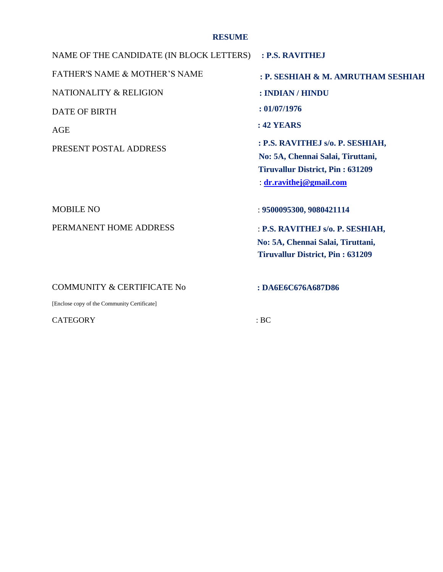# **RESUME**

NAME OF THE CANDIDATE (IN BLOCK LETTERS) FATHER'S NAME & MOTHER'S NAME NATIONALITY & RELIGION DATE OF BIRTH AGE PRESENT POSTAL ADDRESS MOBILE NO PERMANENT HOME ADDRESS COMMUNITY & CERTIFICATE No [Enclose copy of the Community Certificate] CATEGORY : BC **: P.S. RAVITHEJ : P. SESHIAH & M. AMRUTHAM SESHIAH : INDIAN / HINDU : 01/07/1976 : 42 YEARS : P.S. RAVITHEJ s/o. P. SESHIAH, No: 5A, Chennai Salai, Tiruttani, Tiruvallur District, Pin : 631209** : **[dr.ravithej@gmail.com](mailto:dr.ravithej@gmail.com)** : **9500095300, 9080421114** : **P.S. RAVITHEJ s/o. P. SESHIAH, No: 5A, Chennai Salai, Tiruttani, Tiruvallur District, Pin : 631209 : DA6E6C676A687D86**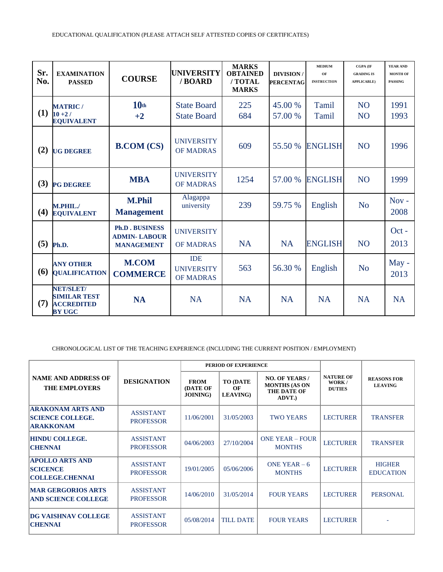| Sr.<br>No. | <b>EXAMINATION</b><br><b>PASSED</b>                                    | <b>COURSE</b>                                                     | <b>UNIVERSITY</b><br>/BOARD                         | <b>MARKS</b><br><b>OBTAINED</b><br>/TOTAL<br><b>MARKS</b> | <b>DIVISION/</b><br><b>PERCENTAG</b> | <b>MEDIUM</b><br>OF<br><b>INSTRUCTION</b> | <b>CGPA (IF</b><br><b>GRADING IS</b><br><b>APPLICABLE</b> ) | YEAR AND<br><b>MONTH OF</b><br><b>PASSING</b> |
|------------|------------------------------------------------------------------------|-------------------------------------------------------------------|-----------------------------------------------------|-----------------------------------------------------------|--------------------------------------|-------------------------------------------|-------------------------------------------------------------|-----------------------------------------------|
| (1)        | <b>MATRIC</b> /<br>$10 + 27$<br><b>EQUIVALENT</b>                      | 10 <sub>th</sub><br>$+2$                                          | <b>State Board</b><br><b>State Board</b>            | 225<br>684                                                | 45.00 %<br>57.00 %                   | Tamil<br>Tamil                            | N <sub>O</sub><br>N <sub>O</sub>                            | 1991<br>1993                                  |
| (2)        | <b>UG DEGREE</b>                                                       | <b>B.COM (CS)</b>                                                 | <b>UNIVERSITY</b><br><b>OF MADRAS</b>               | 609                                                       | 55.50 %                              | <b>ENGLISH</b>                            | N <sub>O</sub>                                              | 1996                                          |
| (3)        | <b>PG DEGREE</b>                                                       | <b>MBA</b>                                                        | <b>UNIVERSITY</b><br><b>OF MADRAS</b>               | 1254                                                      | 57.00 %                              | <b>ENGLISH</b>                            | N <sub>O</sub>                                              | 1999                                          |
| (4)        | M.PHIL./<br><b>EQUIVALENT</b>                                          | <b>M.Phil</b><br><b>Management</b>                                | Alagappa<br>university                              | 239                                                       | 59.75 %                              | English                                   | N <sub>o</sub>                                              | $Nov -$<br>2008                               |
| (5)        | Ph.D.                                                                  | <b>Ph.D. BUSINESS</b><br><b>ADMIN-LABOUR</b><br><b>MANAGEMENT</b> | <b>UNIVERSITY</b><br><b>OF MADRAS</b>               | <b>NA</b>                                                 | <b>NA</b>                            | <b>ENGLISH</b>                            | N <sub>O</sub>                                              | $Oct -$<br>2013                               |
| (6)        | <b>ANY OTHER</b><br><b>QUALIFICATION</b>                               | <b>M.COM</b><br><b>COMMERCE</b>                                   | <b>IDE</b><br><b>UNIVERSITY</b><br><b>OF MADRAS</b> | 563                                                       | 56.30 %                              | English                                   | N <sub>o</sub>                                              | May -<br>2013                                 |
| (7)        | NET/SLET/<br><b>SIMILAR TEST</b><br><b>ACCREDITED</b><br><b>BY UGC</b> | <b>NA</b>                                                         | <b>NA</b>                                           | <b>NA</b>                                                 | <b>NA</b>                            | <b>NA</b>                                 | <b>NA</b>                                                   | <b>NA</b>                                     |

CHRONOLOGICAL LIST OF THE TEACHING EXPERIENCE (INCLUDING THE CURRENT POSITION / EMPLOYMENT)

|                                                                         | <b>DESIGNATION</b>                   | PERIOD OF EXPERIENCE                               |                                            |                                                                        |                                            |                                      |  |
|-------------------------------------------------------------------------|--------------------------------------|----------------------------------------------------|--------------------------------------------|------------------------------------------------------------------------|--------------------------------------------|--------------------------------------|--|
| <b>NAME AND ADDRESS OF</b><br><b>THE EMPLOYERS</b>                      |                                      | <b>FROM</b><br><b>(DATE OF</b><br><b>JOINING</b> ) | <b>TO (DATE)</b><br>OF<br><b>LEAVING</b> ) | <b>NO. OF YEARS /</b><br><b>MONTHS (AS ON</b><br>THE DATE OF<br>ADVT.) | <b>NATURE OF</b><br>WORK/<br><b>DUTIES</b> | <b>REASONS FOR</b><br><b>LEAVING</b> |  |
| <b>ARAKONAM ARTS AND</b><br><b>SCIENCE COLLEGE.</b><br><b>ARAKKONAM</b> | <b>ASSISTANT</b><br><b>PROFESSOR</b> | 11/06/2001                                         | 31/05/2003                                 | <b>TWO YEARS</b>                                                       | <b>LECTURER</b>                            | <b>TRANSFER</b>                      |  |
| <b>HINDU COLLEGE.</b><br><b>CHENNAI</b>                                 | <b>ASSISTANT</b><br><b>PROFESSOR</b> | 04/06/2003                                         | 27/10/2004                                 | <b>ONE YEAR - FOUR</b><br><b>MONTHS</b>                                | <b>LECTURER</b>                            | <b>TRANSFER</b>                      |  |
| <b>APOLLO ARTS AND</b><br><b>SCICENCE</b><br><b>COLLEGE.CHENNAI</b>     | <b>ASSISTANT</b><br><b>PROFESSOR</b> | 19/01/2005                                         | 05/06/2006                                 | ONE YEAR $-6$<br><b>MONTHS</b>                                         | <b>LECTURER</b>                            | <b>HIGHER</b><br><b>EDUCATION</b>    |  |
| <b>MAR GERGORIOS ARTS</b><br><b>AND SCIENCE COLLEGE</b>                 | <b>ASSISTANT</b><br><b>PROFESSOR</b> | 14/06/2010                                         | 31/05/2014                                 | <b>FOUR YEARS</b>                                                      | <b>LECTURER</b>                            | <b>PERSONAL</b>                      |  |
| <b>DG VAISHNAV COLLEGE</b><br><b>CHENNAI</b>                            | <b>ASSISTANT</b><br><b>PROFESSOR</b> | 05/08/2014                                         | <b>TILL DATE</b>                           | <b>FOUR YEARS</b>                                                      | <b>LECTURER</b>                            |                                      |  |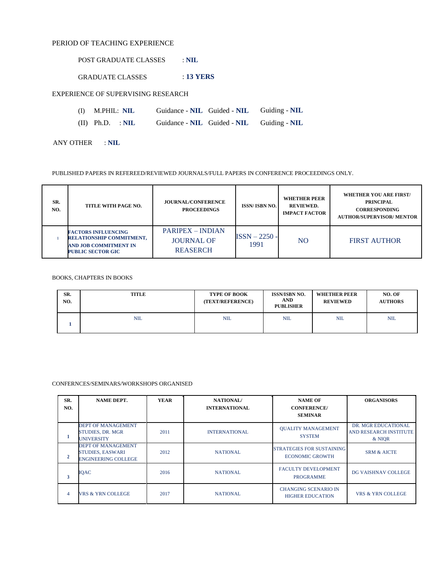### PERIOD OF TEACHING EXPERIENCE

POST GRADUATE CLASSES : **NIL**

GRADUATE CLASSES : **13 YERS**

EXPERIENCE OF SUPERVISING RESEARCH

- (I) M.PHIL: **NIL** Guidance **NIL** Guided **NIL** Guiding **NIL**
- (II) Ph.D. : **NIL** Guidance **NIL** Guided **NIL** Guiding **NIL**

ANY OTHER : **NIL**

PUBLISHED PAPERS IN REFEREED/REVIEWED JOURNALS/FULL PAPERS IN CONFERENCE PROCEEDINGS ONLY.

| SR.<br>NO. | TITLE WITH PAGE NO.                                                                                                | <b>JOURNAL/CONFERENCE</b><br><b>PROCEEDINGS</b>                 | <b>ISSN/ISBN NO.</b>    | <b>WHETHER PEER</b><br>REVIEWED.<br><b>IMPACT FACTOR</b> | <b>WHETHER YOU ARE FIRST/</b><br><b>PRINCIPAL</b><br><b>CORRESPONDING</b><br><b>AUTHOR/SUPERVISOR/ MENTOR</b> |
|------------|--------------------------------------------------------------------------------------------------------------------|-----------------------------------------------------------------|-------------------------|----------------------------------------------------------|---------------------------------------------------------------------------------------------------------------|
|            | <b>FACTORS INFLUENCING</b><br>RELATIONSHIP COMMITMENT,<br><b>AND JOB COMMITMENT IN</b><br><b>PUBLIC SECTOR GIC</b> | <b>PARIPEX – INDIAN</b><br><b>JOURNAL OF</b><br><b>REASERCH</b> | $ISSN - 2250 -$<br>1991 | NO                                                       | <b>FIRST AUTHOR</b>                                                                                           |

#### BOOKS, CHAPTERS IN BOOKS

| SR.<br>NO. | <b>TITLE</b> | <b>TYPE OF BOOK</b><br>(TEXT/REFERENCE) | <b>ISSN/ISBN NO.</b><br><b>AND</b><br><b>PUBLISHER</b> | <b>WHETHER PEER</b><br><b>REVIEWED</b> | NO. OF<br><b>AUTHORS</b> |
|------------|--------------|-----------------------------------------|--------------------------------------------------------|----------------------------------------|--------------------------|
|            | <b>NIL</b>   | <b>NIL</b>                              | <b>NIL</b>                                             | NIL                                    | <b>NIL</b>               |

#### CONFERNCES/SEMINARS/WORKSHOPS ORGANISED

| SR.<br>NO.     | <b>NAME DEPT.</b>                                                                  | <b>YEAR</b> | NATIONAL/<br><b>INTERNATIONAL</b> | <b>NAME OF</b><br><b>CONFERENCE/</b><br><b>SEMINAR</b>     | <b>ORGANISORS</b>                                              |
|----------------|------------------------------------------------------------------------------------|-------------|-----------------------------------|------------------------------------------------------------|----------------------------------------------------------------|
|                | DEPT OF MANAGEMENT<br><b>STUDIES, DR. MGR</b><br><b>UNIVERSITY</b>                 | 2011        | <b>INTERNATIONAL</b>              | <b>OUALITY MANAGEMENT</b><br><b>SYSTEM</b>                 | DR. MGR EDUCATIONAL<br><b>AND RESEARCH INSTITUTE</b><br>& NIOR |
| $\overline{2}$ | <b>DEPT OF MANAGEMENT</b><br><b>STUDIES, EASWARI</b><br><b>ENGINEERING COLLEGE</b> | 2012        | <b>NATIONAL</b>                   | <b>STRATEGIES FOR SUSTAINING</b><br><b>ECONOMIC GROWTH</b> | <b>SRM &amp; AICTE</b>                                         |
| 3              | <b>IQAC</b>                                                                        | 2016        | <b>NATIONAL</b>                   | <b>FACULTY DEVELOPMENT</b><br><b>PROGRAMME</b>             | DG VAISHNAV COLLEGE                                            |
| $\overline{4}$ | <b>VRS &amp; YRN COLLEGE</b>                                                       | 2017        | <b>NATIONAL</b>                   | <b>CHANGING SCENARIO IN</b><br><b>HIGHER EDUCATION</b>     | <b>VRS &amp; YRN COLLEGE</b>                                   |